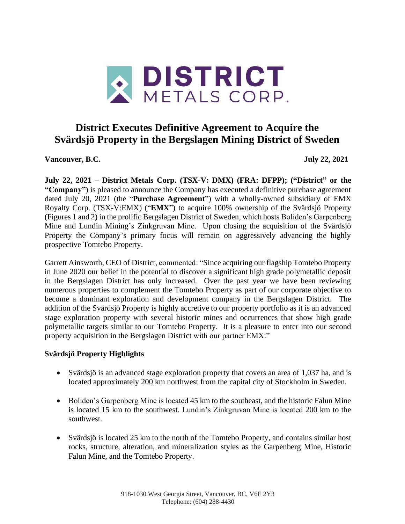

# **District Executes Definitive Agreement to Acquire the Svärdsjö Property in the Bergslagen Mining District of Sweden**

**Vancouver, B.C. July 22, 2021**

**July 22, 2021 – District Metals Corp. (TSX-V: DMX) (FRA: DFPP); ("District" or the "Company")** is pleased to announce the Company has executed a definitive purchase agreement dated July 20, 2021 (the "**Purchase Agreement**") with a wholly-owned subsidiary of EMX Royalty Corp. (TSX-V:EMX) ("**EMX**") to acquire 100% ownership of the Svärdsjö Property (Figures 1 and 2) in the prolific Bergslagen District of Sweden, which hosts Boliden's Garpenberg Mine and Lundin Mining's Zinkgruvan Mine. Upon closing the acquisition of the Svärdsjö Property the Company's primary focus will remain on aggressively advancing the highly prospective Tomtebo Property.

Garrett Ainsworth, CEO of District, commented: "Since acquiring our flagship Tomtebo Property in June 2020 our belief in the potential to discover a significant high grade polymetallic deposit in the Bergslagen District has only increased. Over the past year we have been reviewing numerous properties to complement the Tomtebo Property as part of our corporate objective to become a dominant exploration and development company in the Bergslagen District. The addition of the Svärdsjö Property is highly accretive to our property portfolio as it is an advanced stage exploration property with several historic mines and occurrences that show high grade polymetallic targets similar to our Tomtebo Property. It is a pleasure to enter into our second property acquisition in the Bergslagen District with our partner EMX."

## **Svärdsjö Property Highlights**

- Svärdsjö is an advanced stage exploration property that covers an area of 1,037 ha, and is located approximately 200 km northwest from the capital city of Stockholm in Sweden.
- Boliden's Garpenberg Mine is located 45 km to the southeast, and the historic Falun Mine is located 15 km to the southwest. Lundin's Zinkgruvan Mine is located 200 km to the southwest.
- Svärdsjö is located 25 km to the north of the Tomtebo Property, and contains similar host rocks, structure, alteration, and mineralization styles as the Garpenberg Mine, Historic Falun Mine, and the Tomtebo Property.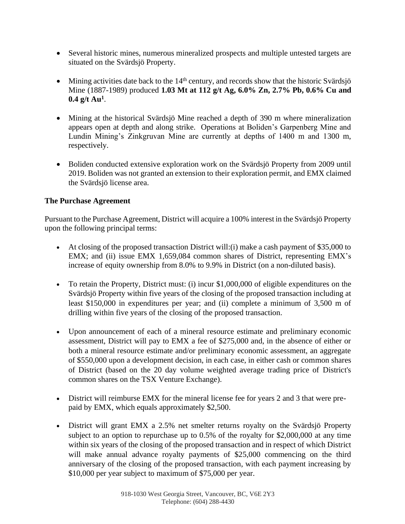- Several historic mines, numerous mineralized prospects and multiple untested targets are situated on the Svärdsjö Property.
- Mining activities date back to the  $14<sup>th</sup>$  century, and records show that the historic Svärdsjö Mine (1887-1989) produced **1.03 Mt at 112 g/t Ag, 6.0% Zn, 2.7% Pb, 0.6% Cu and 0.4 g/t Au<sup>1</sup>** .
- Mining at the historical Svärdsjö Mine reached a depth of 390 m where mineralization appears open at depth and along strike. Operations at Boliden's Garpenberg Mine and Lundin Mining's Zinkgruvan Mine are currently at depths of 1400 m and 1300 m, respectively.
- Boliden conducted extensive exploration work on the Svärdsjö Property from 2009 until 2019. Boliden was not granted an extension to their exploration permit, and EMX claimed the Svärdsjö license area.

## **The Purchase Agreement**

Pursuant to the Purchase Agreement, District will acquire a 100% interest in the Svärdsjö Property upon the following principal terms:

- At closing of the proposed transaction District will: (i) make a cash payment of \$35,000 to EMX; and (ii) issue EMX 1,659,084 common shares of District, representing EMX's increase of equity ownership from 8.0% to 9.9% in District (on a non-diluted basis).
- To retain the Property, District must: (i) incur \$1,000,000 of eligible expenditures on the Svärdsjö Property within five years of the closing of the proposed transaction including at least \$150,000 in expenditures per year; and (ii) complete a minimum of 3,500 m of drilling within five years of the closing of the proposed transaction.
- Upon announcement of each of a mineral resource estimate and preliminary economic assessment, District will pay to EMX a fee of \$275,000 and, in the absence of either or both a mineral resource estimate and/or preliminary economic assessment, an aggregate of \$550,000 upon a development decision, in each case, in either cash or common shares of District (based on the 20 day volume weighted average trading price of District's common shares on the TSX Venture Exchange).
- District will reimburse EMX for the mineral license fee for years 2 and 3 that were prepaid by EMX, which equals approximately \$2,500.
- District will grant EMX a 2.5% net smelter returns royalty on the Svärdsjö Property subject to an option to repurchase up to 0.5% of the royalty for \$2,000,000 at any time within six years of the closing of the proposed transaction and in respect of which District will make annual advance royalty payments of \$25,000 commencing on the third anniversary of the closing of the proposed transaction, with each payment increasing by \$10,000 per year subject to maximum of \$75,000 per year.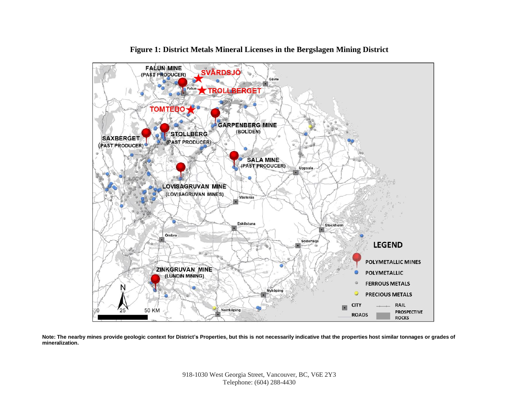

**Figure 1: District Metals Mineral Licenses in the Bergslagen Mining District**

Note: The nearby mines provide geologic context for District's Properties, but this is not necessarily indicative that the properties host similar tonnages or grades of **mineralization.**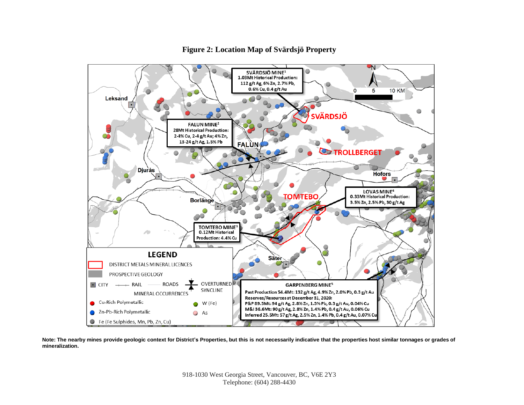

#### **Figure 2: Location Map of Svärdsjö Property**

Note: The nearby mines provide geologic context for District's Properties, but this is not necessarily indicative that the properties host similar tonnages or grades of **mineralization.**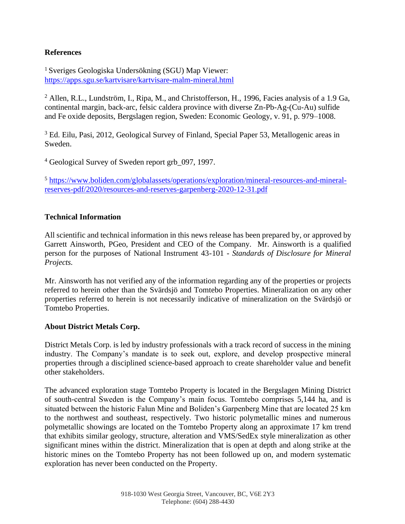## **References**

<sup>1</sup> Sveriges Geologiska Undersökning (SGU) Map Viewer: <https://apps.sgu.se/kartvisare/kartvisare-malm-mineral.html>

 $^2$  Allen, R.L., Lundström, I., Ripa, M., and Christofferson, H., 1996, Facies analysis of a 1.9 Ga, continental margin, back-arc, felsic caldera province with diverse Zn-Pb-Ag-(Cu-Au) sulfide and Fe oxide deposits, Bergslagen region, Sweden: Economic Geology, v. 91, p. 979–1008.

<sup>3</sup> Ed. Eilu, Pasi, 2012, Geological Survey of Finland, Special Paper 53, Metallogenic areas in Sweden.

<sup>4</sup> Geological Survey of Sweden report grb 097, 1997.

<sup>5</sup> [https://www.boliden.com/globalassets/operations/exploration/mineral-resources-and-mineral](https://www.boliden.com/globalassets/operations/exploration/mineral-resources-and-mineral-reserves-pdf/2020/resources-and-reserves-garpenberg-2020-12-31.pdf)[reserves-pdf/2020/resources-and-reserves-garpenberg-2020-12-31.pdf](https://www.boliden.com/globalassets/operations/exploration/mineral-resources-and-mineral-reserves-pdf/2020/resources-and-reserves-garpenberg-2020-12-31.pdf)

## **Technical Information**

All scientific and technical information in this news release has been prepared by, or approved by Garrett Ainsworth, PGeo, President and CEO of the Company. Mr. Ainsworth is a qualified person for the purposes of National Instrument 43-101 - *Standards of Disclosure for Mineral Projects.*

Mr. Ainsworth has not verified any of the information regarding any of the properties or projects referred to herein other than the Svärdsjö and Tomtebo Properties. Mineralization on any other properties referred to herein is not necessarily indicative of mineralization on the Svärdsjö or Tomtebo Properties.

## **About District Metals Corp.**

District Metals Corp. is led by industry professionals with a track record of success in the mining industry. The Company's mandate is to seek out, explore, and develop prospective mineral properties through a disciplined science-based approach to create shareholder value and benefit other stakeholders.

The advanced exploration stage Tomtebo Property is located in the Bergslagen Mining District of south-central Sweden is the Company's main focus. Tomtebo comprises 5,144 ha, and is situated between the historic Falun Mine and Boliden's Garpenberg Mine that are located 25 km to the northwest and southeast, respectively. Two historic polymetallic mines and numerous polymetallic showings are located on the Tomtebo Property along an approximate 17 km trend that exhibits similar geology, structure, alteration and VMS/SedEx style mineralization as other significant mines within the district. Mineralization that is open at depth and along strike at the historic mines on the Tomtebo Property has not been followed up on, and modern systematic exploration has never been conducted on the Property.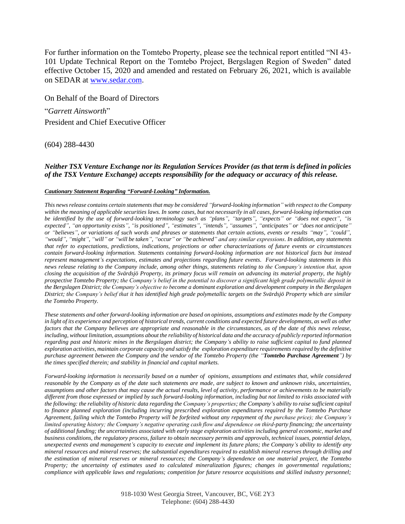For further information on the Tomtebo Property, please see the technical report entitled "NI 43- 101 Update Technical Report on the Tomtebo Project, Bergslagen Region of Sweden" dated effective October 15, 2020 and amended and restated on February 26, 2021, which is available on SEDAR at [www.sedar.com.](http://www.sedar.com/)

On Behalf of the Board of Directors "*Garrett Ainsworth*" President and Chief Executive Officer

(604) 288-4430

#### *Neither TSX Venture Exchange nor its Regulation Services Provider (as that term is defined in policies of the TSX Venture Exchange) accepts responsibility for the adequacy or accuracy of this release.*

#### *Cautionary Statement Regarding "Forward-Looking" Information.*

*This news release contains certain statements that may be considered "forward-looking information" with respect to the Company within the meaning of applicable securities laws. In some cases, but not necessarily in all cases, forward-looking information can be identified by the use of forward-looking terminology such as "plans", "targets", "expects" or "does not expect", "is expected", "an opportunity exists", "is positioned", "estimates", "intends", "assumes", "anticipates" or "does not anticipate" or "believes", or variations of such words and phrases or statements that certain actions, events or results "may", "could", "would", "might", "will" or "will be taken", "occur" or "be achieved" and any similar expressions. In addition, any statements that refer to expectations, predictions, indications, projections or other characterizations of future events or circumstances contain forward-looking information. Statements containing forward-looking information are not historical facts but instead*  represent management's expectations, estimates and projections regarding future events. Forward-looking statements in this *news release relating to the Company include, among other things, statements relating to the Company's intention that, upon closing the acquisition of the Svärdsjö Property, its primary focus will remain on advancing its material property, the highly prospective Tomtebo Property; the Company's belief in the potential to discover a significant high grade polymetallic deposit in the Bergslagen District; the Company's objective to become a dominant exploration and development company in the Bergslagen District; the Company's belief that it has identified high grade polymetallic targets on the Svärdsjö Property which are similar the Tomtebo Property.* 

*These statements and other forward-looking information are based on opinions, assumptions and estimates made by the Company*  in light of its experience and perception of historical trends, current conditions and expected future developments, as well as other *factors that the Company believes are appropriate and reasonable in the circumstances, as of the date of this news release, including, without limitation, assumptions about the reliability of historical data and the accuracy of publicly reported information regarding past and historic mines in the Bergslagen district; the Company's ability to raise sufficient capital to fund planned exploration activities, maintain corporate capacity and satisfy the exploration expenditure requirements required by the definitive purchase agreement between the Company and the vendor of the Tomtebo Property (the "Tomtebo Purchase Agreement") by the times specified therein; and stability in financial and capital markets.*

*Forward-looking information is necessarily based on a number of opinions, assumptions and estimates that, while considered reasonable by the Company as of the date such statements are made, are subject to known and unknown risks, uncertainties, assumptions and other factors that may cause the actual results, level of activity, performance or achievements to be materially different from those expressed or implied by such forward-looking information, including but not limited to risks associated with the following: the reliability of historic data regarding the Company's properties; the Company's ability to raise sufficient capital to finance planned exploration (including incurring prescribed exploration expenditures required by the Tomtebo Purchase Agreement, failing which the Tomtebo Property will be forfeited without any repayment of the purchase price); the Company's limited operating history; the Company's negative operating cash flow and dependence on third-party financing; the uncertainty of additional funding; the uncertainties associated with early stage exploration activities including general economic, market and business conditions, the regulatory process, failure to obtain necessary permits and approvals, technical issues, potential delays, unexpected events and management's capacity to execute and implement its future plans; the Company's ability to identify any mineral resources and mineral reserves; the substantial expenditures required to establish mineral reserves through drilling and the estimation of mineral reserves or mineral resources; the Company's dependence on one material project, the Tomtebo Property; the uncertainty of estimates used to calculated mineralization figures; changes in governmental regulations; compliance with applicable laws and regulations; competition for future resource acquisitions and skilled industry personnel;*